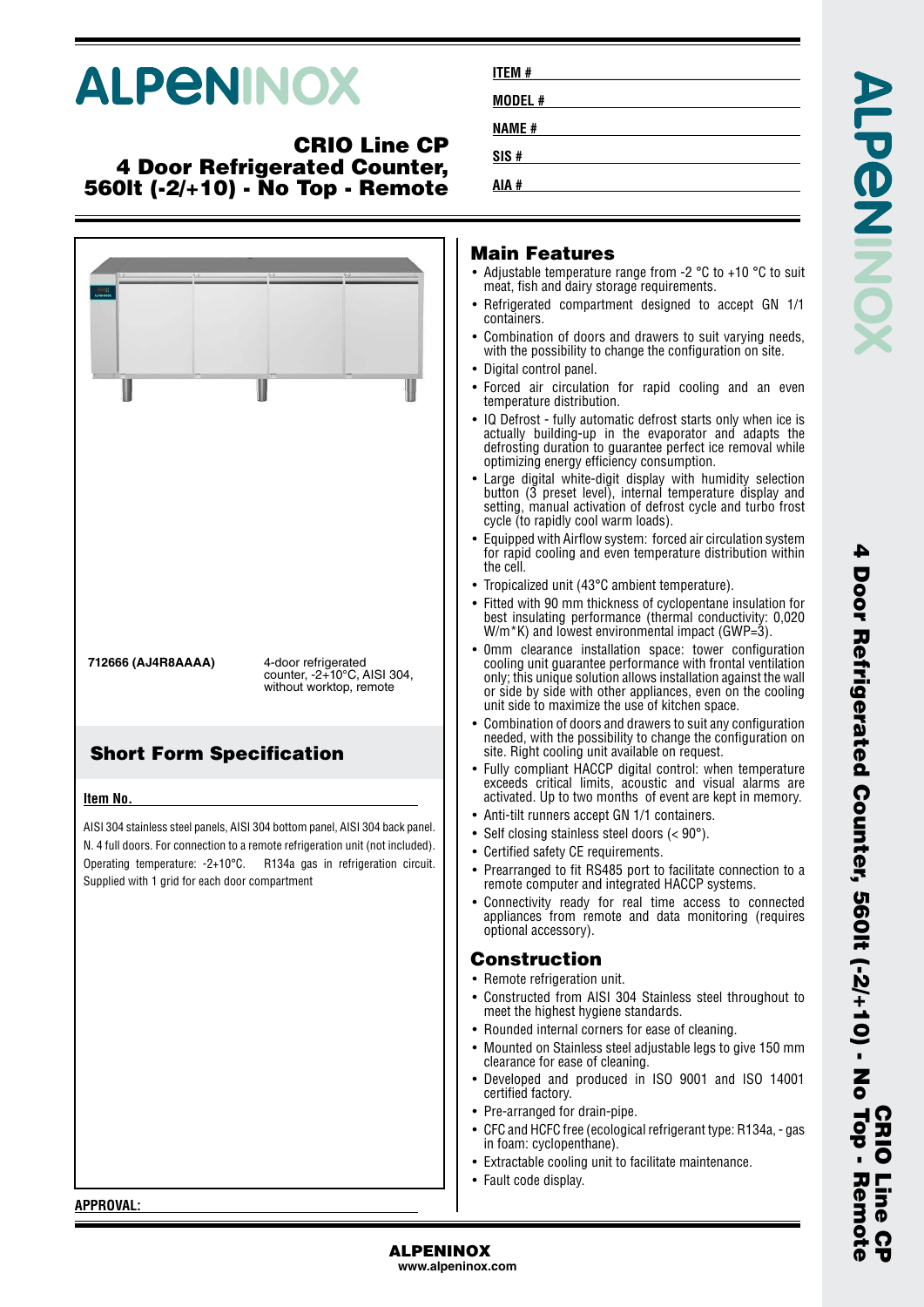# **ALPENINOX**

#### **CRIO Line CP 4 Door Refrigerated Counter, 560lt (-2/+10) - No Top - Remote**



| ITEM #       |  |  |  |
|--------------|--|--|--|
| MODEL #      |  |  |  |
| <b>NAME#</b> |  |  |  |
| SIS#         |  |  |  |
| AIA #        |  |  |  |

#### **Main Features**

- Adjustable temperature range from -2 °C to +10 °C to suit meat, fish and dairy storage requirements.
- Refrigerated compartment designed to accept GN 1/1 containers.
- Combination of doors and drawers to suit varying needs, with the possibility to change the configuration on site.
- Digital control panel.
- • Forced air circulation for rapid cooling and an even temperature distribution.
- IQ Defrost fully automatic defrost starts only when ice is actually building-up in the evaporator and adapts the defrosting duration to guarantee perfect ice removal while optimizing energy efficiency consumption.
- • Large digital white-digit display with humidity selection button (3 preset level), internal temperature display and setting, manual activation of defrost cycle and turbo frost cycle (to rapidly cool warm loads).
- • Equipped with Airflow system: forced air circulation system for rapid cooling and even temperature distribution within the cell.
- Tropicalized unit (43°C ambient temperature).
- • Fitted with 90 mm thickness of cyclopentane insulation for best insulating performance (thermal conductivity: 0,020 W/m<sup>\*</sup>K) and lowest environmental impact (GWP=3).
- 0mm clearance installation space: tower configuration cooling unit guarantee performance with frontal ventilation only; this unique solution allows installation against the wall or side by side with other appliances, even on the cooling unit side to maximize the use of kitchen space.
- • Combination of doors and drawers to suit any configuration needed, with the possibility to change the configuration on site. Right cooling unit available on request.
- • Fully compliant HACCP digital control: when temperature exceeds critical limits, acoustic and visual alarms are activated. Up to two months of event are kept in memory.
- •Anti-tilt runners accept GN 1/1 containers.
- Self closing stainless steel doors (< 90°).
- Certified safety CE requirements.
- • Prearranged to fit RS485 port to facilitate connection to a remote computer and integrated HACCP systems.
- Connectivity ready for real time access to connected appliances from remote and data monitoring (requires optional accessory).

#### **Construction**

- Remote refrigeration unit.
- Constructed from AISI 304 Stainless steel throughout to meet the highest hygiene standards.
- Rounded internal corners for ease of cleaning.
- Mounted on Stainless steel adjustable legs to give 150 mm clearance for ease of cleaning.
	- Developed and produced in ISO 9001 and ISO 14001 certified factory.
- Pre-arranged for drain-pipe.
- CFC and HCFC free (ecological refrigerant type: R134a, gas in foam: cyclopenthane).
- Extractable cooling unit to facilitate maintenance.
- Fault code display.

**APPROVAL:**

**ALPENINOX www.alpeninox.com**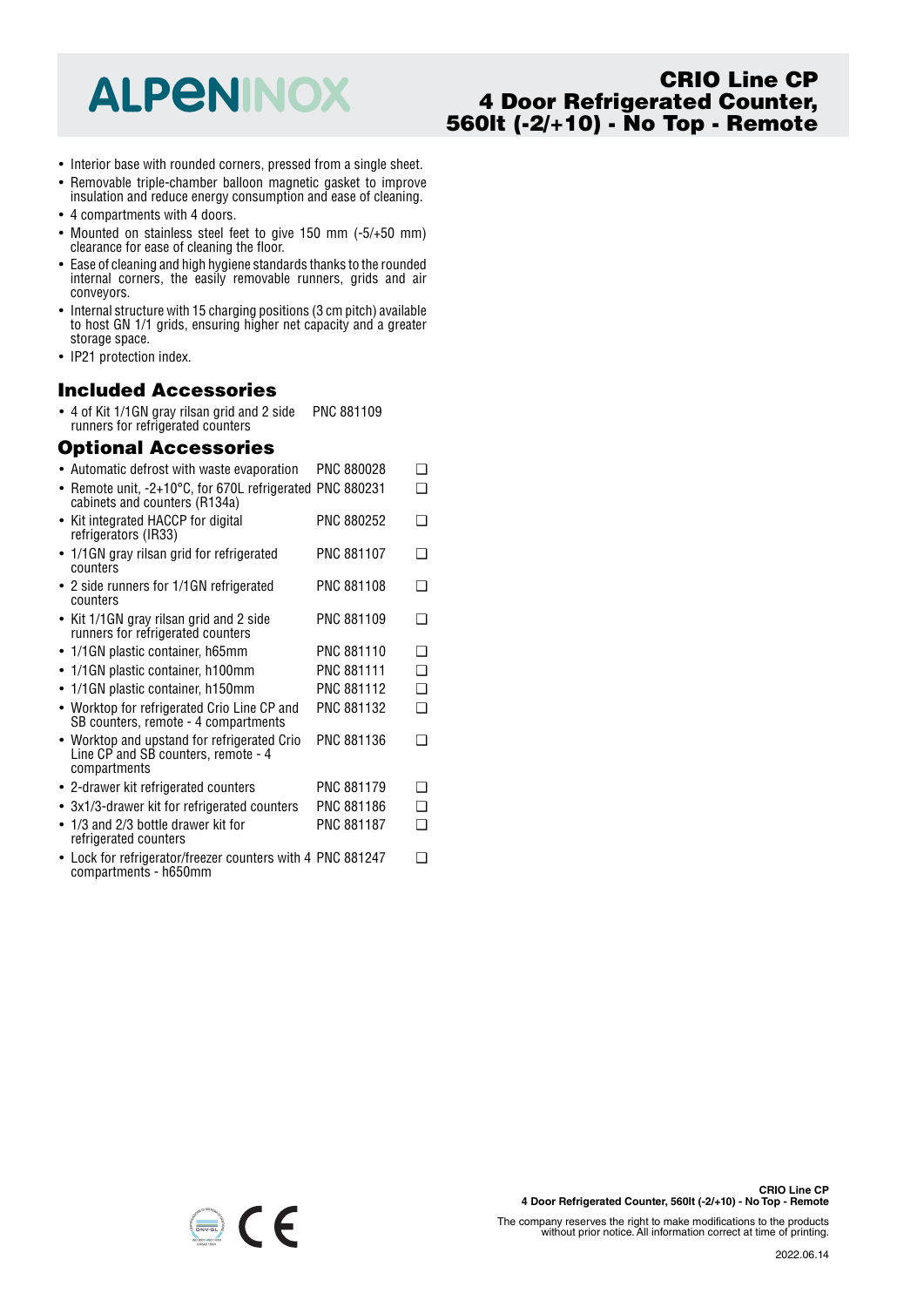## **ALPENINOX**

### **CRIO Line CP 4 Door Refrigerated Counter, 560lt (-2/+10) - No Top - Remote**

- Interior base with rounded corners, pressed from a single sheet.
- Removable triple-chamber balloon magnetic gasket to improve insulation and reduce energy consumption and ease of cleaning.
- 4 compartments with 4 doors.
- Mounted on stainless steel feet to give 150 mm (-5/+50 mm) clearance for ease of cleaning the floor.
- Ease of cleaning and high hygiene standards thanks to the rounded internal corners, the easily removable runners, grids and air conveyors.
- Internal structure with 15 charging positions (3 cm pitch) available to host GN 1/1 grids, ensuring higher net capacity and a greater storage space.
- IP21 protection index.

#### **Included Accessories**

• 4 of Kit 1/1GN gray rilsan grid and 2 side PNC 881109 runners for refrigerated counters

#### **Optional Accessories**

| • Automatic defrost with waste evaporation                                                         | PNC 880028        | ∩ |
|----------------------------------------------------------------------------------------------------|-------------------|---|
| Remote unit, -2+10°C, for 670L refrigerated PNC 880231<br>cabinets and counters (R134a)            |                   | ∩ |
| • Kit integrated HACCP for digital<br>refrigerators (IR33)                                         | PNC 880252        | ∩ |
| • 1/1GN gray rilsan grid for refrigerated<br>counters                                              | PNC 881107        | n |
| • 2 side runners for 1/1GN refrigerated<br>counters                                                | PNC 881108        | ∩ |
| • Kit 1/1GN gray rilsan grid and 2 side<br>runners for refrigerated counters                       | PNC 881109        | ר |
| • 1/1GN plastic container, h65mm                                                                   | PNC 881110        | ∩ |
| 1/1GN plastic container, h100mm                                                                    | <b>PNC 881111</b> | ∩ |
| • 1/1GN plastic container, h150mm                                                                  | PNC 881112        | ∩ |
| • Worktop for refrigerated Crio Line CP and<br>SB counters, remote - 4 compartments                | PNC 881132        | ◻ |
| • Worktop and upstand for refrigerated Crio<br>Line CP and SB counters, remote - 4<br>compartments | PNC 881136        | ר |
| • 2-drawer kit refrigerated counters                                                               | PNC 881179        | ∩ |
| • 3x1/3-drawer kit for refrigerated counters                                                       | PNC 881186        | ∩ |
| $\bullet$ 1/3 and 2/3 bottle drawer kit for<br>refrigerated counters                               | PNC 881187        | ◻ |
| Lock for refrigerator/freezer counters with 4 PNC 881247<br>compartments - h650mm                  |                   | ❏ |



The company reserves the right to make modifications to the products without prior notice. All information correct at time of printing.